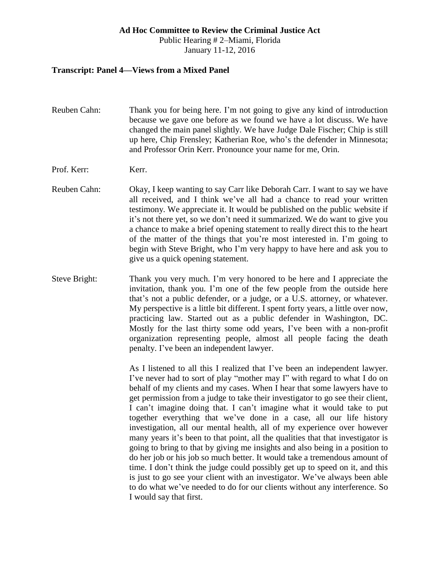#### **Ad Hoc Committee to Review the Criminal Justice Act**

Public Hearing # 2–Miami, Florida January 11-12, 2016

#### **Transcript: Panel 4—Views from a Mixed Panel**

- Reuben Cahn: Thank you for being here. I'm not going to give any kind of introduction because we gave one before as we found we have a lot discuss. We have changed the main panel slightly. We have Judge Dale Fischer; Chip is still up here, Chip Frensley; Katherian Roe, who's the defender in Minnesota; and Professor Orin Kerr. Pronounce your name for me, Orin.
- Prof. Kerr: Kerr.
- Reuben Cahn: Okay, I keep wanting to say Carr like Deborah Carr. I want to say we have all received, and I think we've all had a chance to read your written testimony. We appreciate it. It would be published on the public website if it's not there yet, so we don't need it summarized. We do want to give you a chance to make a brief opening statement to really direct this to the heart of the matter of the things that you're most interested in. I'm going to begin with Steve Bright, who I'm very happy to have here and ask you to give us a quick opening statement.
- Steve Bright: Thank you very much. I'm very honored to be here and I appreciate the invitation, thank you. I'm one of the few people from the outside here that's not a public defender, or a judge, or a U.S. attorney, or whatever. My perspective is a little bit different. I spent forty years, a little over now, practicing law. Started out as a public defender in Washington, DC. Mostly for the last thirty some odd years, I've been with a non-profit organization representing people, almost all people facing the death penalty. I've been an independent lawyer.

As I listened to all this I realized that I've been an independent lawyer. I've never had to sort of play "mother may I" with regard to what I do on behalf of my clients and my cases. When I hear that some lawyers have to get permission from a judge to take their investigator to go see their client, I can't imagine doing that. I can't imagine what it would take to put together everything that we've done in a case, all our life history investigation, all our mental health, all of my experience over however many years it's been to that point, all the qualities that that investigator is going to bring to that by giving me insights and also being in a position to do her job or his job so much better. It would take a tremendous amount of time. I don't think the judge could possibly get up to speed on it, and this is just to go see your client with an investigator. We've always been able to do what we've needed to do for our clients without any interference. So I would say that first.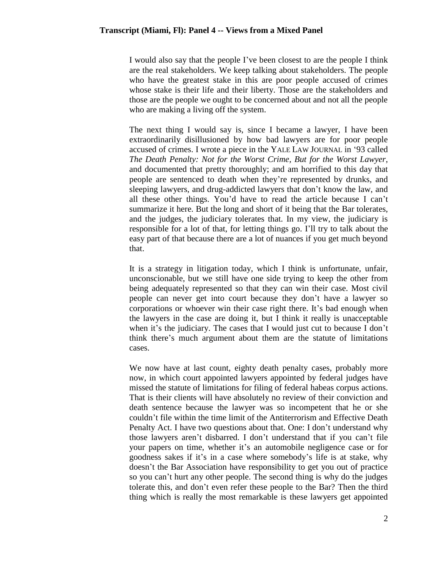I would also say that the people I've been closest to are the people I think are the real stakeholders. We keep talking about stakeholders. The people who have the greatest stake in this are poor people accused of crimes whose stake is their life and their liberty. Those are the stakeholders and those are the people we ought to be concerned about and not all the people who are making a living off the system.

The next thing I would say is, since I became a lawyer, I have been extraordinarily disillusioned by how bad lawyers are for poor people accused of crimes. I wrote a piece in the YALE LAW JOURNAL in '93 called *The Death Penalty: Not for the Worst Crime, But for the Worst Lawyer*, and documented that pretty thoroughly; and am horrified to this day that people are sentenced to death when they're represented by drunks, and sleeping lawyers, and drug-addicted lawyers that don't know the law, and all these other things. You'd have to read the article because I can't summarize it here. But the long and short of it being that the Bar tolerates, and the judges, the judiciary tolerates that. In my view, the judiciary is responsible for a lot of that, for letting things go. I'll try to talk about the easy part of that because there are a lot of nuances if you get much beyond that.

It is a strategy in litigation today, which I think is unfortunate, unfair, unconscionable, but we still have one side trying to keep the other from being adequately represented so that they can win their case. Most civil people can never get into court because they don't have a lawyer so corporations or whoever win their case right there. It's bad enough when the lawyers in the case are doing it, but I think it really is unacceptable when it's the judiciary. The cases that I would just cut to because I don't think there's much argument about them are the statute of limitations cases.

We now have at last count, eighty death penalty cases, probably more now, in which court appointed lawyers appointed by federal judges have missed the statute of limitations for filing of federal habeas corpus actions. That is their clients will have absolutely no review of their conviction and death sentence because the lawyer was so incompetent that he or she couldn't file within the time limit of the Antiterrorism and Effective Death Penalty Act. I have two questions about that. One: I don't understand why those lawyers aren't disbarred. I don't understand that if you can't file your papers on time, whether it's an automobile negligence case or for goodness sakes if it's in a case where somebody's life is at stake, why doesn't the Bar Association have responsibility to get you out of practice so you can't hurt any other people. The second thing is why do the judges tolerate this, and don't even refer these people to the Bar? Then the third thing which is really the most remarkable is these lawyers get appointed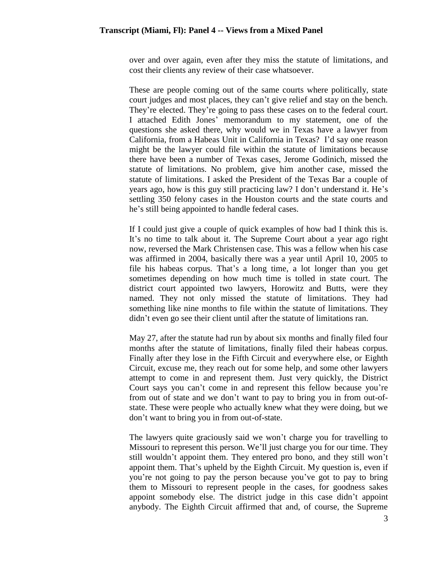over and over again, even after they miss the statute of limitations, and cost their clients any review of their case whatsoever.

These are people coming out of the same courts where politically, state court judges and most places, they can't give relief and stay on the bench. They're elected. They're going to pass these cases on to the federal court. I attached Edith Jones' memorandum to my statement, one of the questions she asked there, why would we in Texas have a lawyer from California, from a Habeas Unit in California in Texas? I'd say one reason might be the lawyer could file within the statute of limitations because there have been a number of Texas cases, Jerome Godinich, missed the statute of limitations. No problem, give him another case, missed the statute of limitations. I asked the President of the Texas Bar a couple of years ago, how is this guy still practicing law? I don't understand it. He's settling 350 felony cases in the Houston courts and the state courts and he's still being appointed to handle federal cases.

If I could just give a couple of quick examples of how bad I think this is. It's no time to talk about it. The Supreme Court about a year ago right now, reversed the Mark Christensen case. This was a fellow when his case was affirmed in 2004, basically there was a year until April 10, 2005 to file his habeas corpus. That's a long time, a lot longer than you get sometimes depending on how much time is tolled in state court. The district court appointed two lawyers, Horowitz and Butts, were they named. They not only missed the statute of limitations. They had something like nine months to file within the statute of limitations. They didn't even go see their client until after the statute of limitations ran.

May 27, after the statute had run by about six months and finally filed four months after the statute of limitations, finally filed their habeas corpus. Finally after they lose in the Fifth Circuit and everywhere else, or Eighth Circuit, excuse me, they reach out for some help, and some other lawyers attempt to come in and represent them. Just very quickly, the District Court says you can't come in and represent this fellow because you're from out of state and we don't want to pay to bring you in from out-ofstate. These were people who actually knew what they were doing, but we don't want to bring you in from out-of-state.

The lawyers quite graciously said we won't charge you for travelling to Missouri to represent this person. We'll just charge you for our time. They still wouldn't appoint them. They entered pro bono, and they still won't appoint them. That's upheld by the Eighth Circuit. My question is, even if you're not going to pay the person because you've got to pay to bring them to Missouri to represent people in the cases, for goodness sakes appoint somebody else. The district judge in this case didn't appoint anybody. The Eighth Circuit affirmed that and, of course, the Supreme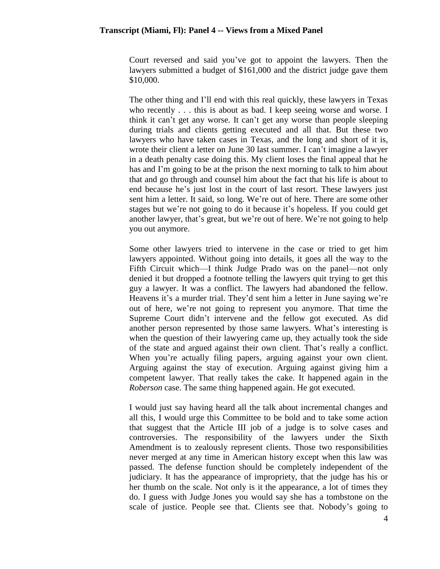Court reversed and said you've got to appoint the lawyers. Then the lawyers submitted a budget of \$161,000 and the district judge gave them \$10,000.

The other thing and I'll end with this real quickly, these lawyers in Texas who recently . . . this is about as bad. I keep seeing worse and worse. I think it can't get any worse. It can't get any worse than people sleeping during trials and clients getting executed and all that. But these two lawyers who have taken cases in Texas, and the long and short of it is, wrote their client a letter on June 30 last summer. I can't imagine a lawyer in a death penalty case doing this. My client loses the final appeal that he has and I'm going to be at the prison the next morning to talk to him about that and go through and counsel him about the fact that his life is about to end because he's just lost in the court of last resort. These lawyers just sent him a letter. It said, so long. We're out of here. There are some other stages but we're not going to do it because it's hopeless. If you could get another lawyer, that's great, but we're out of here. We're not going to help you out anymore.

Some other lawyers tried to intervene in the case or tried to get him lawyers appointed. Without going into details, it goes all the way to the Fifth Circuit which—I think Judge Prado was on the panel—not only denied it but dropped a footnote telling the lawyers quit trying to get this guy a lawyer. It was a conflict. The lawyers had abandoned the fellow. Heavens it's a murder trial. They'd sent him a letter in June saying we're out of here, we're not going to represent you anymore. That time the Supreme Court didn't intervene and the fellow got executed. As did another person represented by those same lawyers. What's interesting is when the question of their lawyering came up, they actually took the side of the state and argued against their own client. That's really a conflict. When you're actually filing papers, arguing against your own client. Arguing against the stay of execution. Arguing against giving him a competent lawyer. That really takes the cake. It happened again in the *Roberson* case. The same thing happened again. He got executed.

I would just say having heard all the talk about incremental changes and all this, I would urge this Committee to be bold and to take some action that suggest that the Article III job of a judge is to solve cases and controversies. The responsibility of the lawyers under the Sixth Amendment is to zealously represent clients. Those two responsibilities never merged at any time in American history except when this law was passed. The defense function should be completely independent of the judiciary. It has the appearance of impropriety, that the judge has his or her thumb on the scale. Not only is it the appearance, a lot of times they do. I guess with Judge Jones you would say she has a tombstone on the scale of justice. People see that. Clients see that. Nobody's going to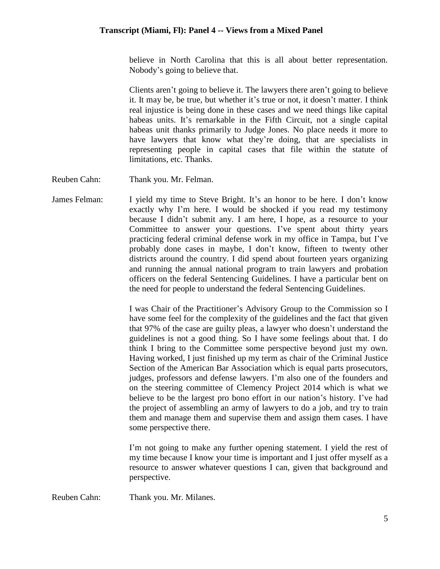believe in North Carolina that this is all about better representation. Nobody's going to believe that.

Clients aren't going to believe it. The lawyers there aren't going to believe it. It may be, be true, but whether it's true or not, it doesn't matter. I think real injustice is being done in these cases and we need things like capital habeas units. It's remarkable in the Fifth Circuit, not a single capital habeas unit thanks primarily to Judge Jones. No place needs it more to have lawyers that know what they're doing, that are specialists in representing people in capital cases that file within the statute of limitations, etc. Thanks.

Reuben Cahn: Thank you. Mr. Felman.

James Felman: I yield my time to Steve Bright. It's an honor to be here. I don't know exactly why I'm here. I would be shocked if you read my testimony because I didn't submit any. I am here, I hope, as a resource to your Committee to answer your questions. I've spent about thirty years practicing federal criminal defense work in my office in Tampa, but I've probably done cases in maybe, I don't know, fifteen to twenty other districts around the country. I did spend about fourteen years organizing and running the annual national program to train lawyers and probation officers on the federal Sentencing Guidelines. I have a particular bent on the need for people to understand the federal Sentencing Guidelines.

> I was Chair of the Practitioner's Advisory Group to the Commission so I have some feel for the complexity of the guidelines and the fact that given that 97% of the case are guilty pleas, a lawyer who doesn't understand the guidelines is not a good thing. So I have some feelings about that. I do think I bring to the Committee some perspective beyond just my own. Having worked, I just finished up my term as chair of the Criminal Justice Section of the American Bar Association which is equal parts prosecutors, judges, professors and defense lawyers. I'm also one of the founders and on the steering committee of Clemency Project 2014 which is what we believe to be the largest pro bono effort in our nation's history. I've had the project of assembling an army of lawyers to do a job, and try to train them and manage them and supervise them and assign them cases. I have some perspective there.

> I'm not going to make any further opening statement. I yield the rest of my time because I know your time is important and I just offer myself as a resource to answer whatever questions I can, given that background and perspective.

Reuben Cahn: Thank you. Mr. Milanes.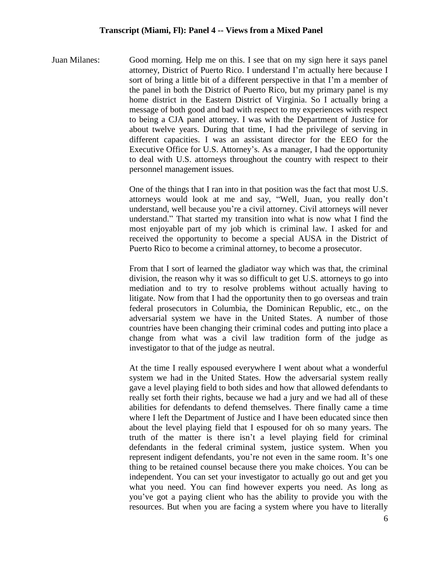Juan Milanes: Good morning. Help me on this. I see that on my sign here it says panel attorney, District of Puerto Rico. I understand I'm actually here because I sort of bring a little bit of a different perspective in that I'm a member of the panel in both the District of Puerto Rico, but my primary panel is my home district in the Eastern District of Virginia. So I actually bring a message of both good and bad with respect to my experiences with respect to being a CJA panel attorney. I was with the Department of Justice for about twelve years. During that time, I had the privilege of serving in different capacities. I was an assistant director for the EEO for the Executive Office for U.S. Attorney's. As a manager, I had the opportunity to deal with U.S. attorneys throughout the country with respect to their personnel management issues.

> One of the things that I ran into in that position was the fact that most U.S. attorneys would look at me and say, "Well, Juan, you really don't understand, well because you're a civil attorney. Civil attorneys will never understand." That started my transition into what is now what I find the most enjoyable part of my job which is criminal law. I asked for and received the opportunity to become a special AUSA in the District of Puerto Rico to become a criminal attorney, to become a prosecutor.

> From that I sort of learned the gladiator way which was that, the criminal division, the reason why it was so difficult to get U.S. attorneys to go into mediation and to try to resolve problems without actually having to litigate. Now from that I had the opportunity then to go overseas and train federal prosecutors in Columbia, the Dominican Republic, etc., on the adversarial system we have in the United States. A number of those countries have been changing their criminal codes and putting into place a change from what was a civil law tradition form of the judge as investigator to that of the judge as neutral.

> At the time I really espoused everywhere I went about what a wonderful system we had in the United States. How the adversarial system really gave a level playing field to both sides and how that allowed defendants to really set forth their rights, because we had a jury and we had all of these abilities for defendants to defend themselves. There finally came a time where I left the Department of Justice and I have been educated since then about the level playing field that I espoused for oh so many years. The truth of the matter is there isn't a level playing field for criminal defendants in the federal criminal system, justice system. When you represent indigent defendants, you're not even in the same room. It's one thing to be retained counsel because there you make choices. You can be independent. You can set your investigator to actually go out and get you what you need. You can find however experts you need. As long as you've got a paying client who has the ability to provide you with the resources. But when you are facing a system where you have to literally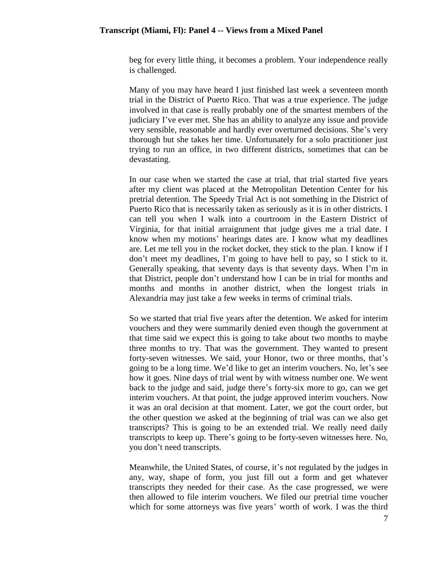beg for every little thing, it becomes a problem. Your independence really is challenged.

Many of you may have heard I just finished last week a seventeen month trial in the District of Puerto Rico. That was a true experience. The judge involved in that case is really probably one of the smartest members of the judiciary I've ever met. She has an ability to analyze any issue and provide very sensible, reasonable and hardly ever overturned decisions. She's very thorough but she takes her time. Unfortunately for a solo practitioner just trying to run an office, in two different districts, sometimes that can be devastating.

In our case when we started the case at trial, that trial started five years after my client was placed at the Metropolitan Detention Center for his pretrial detention. The Speedy Trial Act is not something in the District of Puerto Rico that is necessarily taken as seriously as it is in other districts. I can tell you when I walk into a courtroom in the Eastern District of Virginia, for that initial arraignment that judge gives me a trial date. I know when my motions' hearings dates are. I know what my deadlines are. Let me tell you in the rocket docket, they stick to the plan. I know if I don't meet my deadlines, I'm going to have hell to pay, so I stick to it. Generally speaking, that seventy days is that seventy days. When I'm in that District, people don't understand how I can be in trial for months and months and months in another district, when the longest trials in Alexandria may just take a few weeks in terms of criminal trials.

So we started that trial five years after the detention. We asked for interim vouchers and they were summarily denied even though the government at that time said we expect this is going to take about two months to maybe three months to try. That was the government. They wanted to present forty-seven witnesses. We said, your Honor, two or three months, that's going to be a long time. We'd like to get an interim vouchers. No, let's see how it goes. Nine days of trial went by with witness number one. We went back to the judge and said, judge there's forty-six more to go, can we get interim vouchers. At that point, the judge approved interim vouchers. Now it was an oral decision at that moment. Later, we got the court order, but the other question we asked at the beginning of trial was can we also get transcripts? This is going to be an extended trial. We really need daily transcripts to keep up. There's going to be forty-seven witnesses here. No, you don't need transcripts.

Meanwhile, the United States, of course, it's not regulated by the judges in any, way, shape of form, you just fill out a form and get whatever transcripts they needed for their case. As the case progressed, we were then allowed to file interim vouchers. We filed our pretrial time voucher which for some attorneys was five years' worth of work. I was the third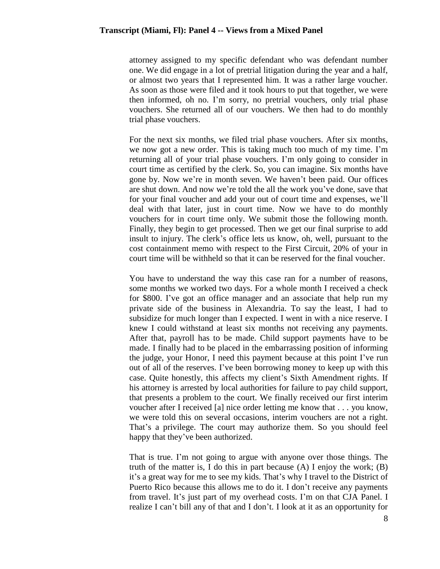attorney assigned to my specific defendant who was defendant number one. We did engage in a lot of pretrial litigation during the year and a half, or almost two years that I represented him. It was a rather large voucher. As soon as those were filed and it took hours to put that together, we were then informed, oh no. I'm sorry, no pretrial vouchers, only trial phase vouchers. She returned all of our vouchers. We then had to do monthly trial phase vouchers.

For the next six months, we filed trial phase vouchers. After six months, we now got a new order. This is taking much too much of my time. I'm returning all of your trial phase vouchers. I'm only going to consider in court time as certified by the clerk. So, you can imagine. Six months have gone by. Now we're in month seven. We haven't been paid. Our offices are shut down. And now we're told the all the work you've done, save that for your final voucher and add your out of court time and expenses, we'll deal with that later, just in court time. Now we have to do monthly vouchers for in court time only. We submit those the following month. Finally, they begin to get processed. Then we get our final surprise to add insult to injury. The clerk's office lets us know, oh, well, pursuant to the cost containment memo with respect to the First Circuit, 20% of your in court time will be withheld so that it can be reserved for the final voucher.

You have to understand the way this case ran for a number of reasons, some months we worked two days. For a whole month I received a check for \$800. I've got an office manager and an associate that help run my private side of the business in Alexandria. To say the least, I had to subsidize for much longer than I expected. I went in with a nice reserve. I knew I could withstand at least six months not receiving any payments. After that, payroll has to be made. Child support payments have to be made. I finally had to be placed in the embarrassing position of informing the judge, your Honor, I need this payment because at this point I've run out of all of the reserves. I've been borrowing money to keep up with this case. Quite honestly, this affects my client's Sixth Amendment rights. If his attorney is arrested by local authorities for failure to pay child support, that presents a problem to the court. We finally received our first interim voucher after I received [a] nice order letting me know that . . . you know, we were told this on several occasions, interim vouchers are not a right. That's a privilege. The court may authorize them. So you should feel happy that they've been authorized.

That is true. I'm not going to argue with anyone over those things. The truth of the matter is, I do this in part because  $(A)$  I enjoy the work;  $(B)$ it's a great way for me to see my kids. That's why I travel to the District of Puerto Rico because this allows me to do it. I don't receive any payments from travel. It's just part of my overhead costs. I'm on that CJA Panel. I realize I can't bill any of that and I don't. I look at it as an opportunity for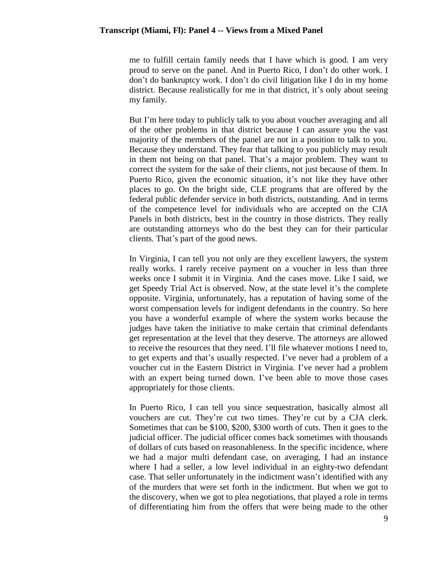me to fulfill certain family needs that I have which is good. I am very proud to serve on the panel. And in Puerto Rico, I don't do other work. I don't do bankruptcy work. I don't do civil litigation like I do in my home district. Because realistically for me in that district, it's only about seeing my family.

But I'm here today to publicly talk to you about voucher averaging and all of the other problems in that district because I can assure you the vast majority of the members of the panel are not in a position to talk to you. Because they understand. They fear that talking to you publicly may result in them not being on that panel. That's a major problem. They want to correct the system for the sake of their clients, not just because of them. In Puerto Rico, given the economic situation, it's not like they have other places to go. On the bright side, CLE programs that are offered by the federal public defender service in both districts, outstanding. And in terms of the competence level for individuals who are accepted on the CJA Panels in both districts, best in the country in those districts. They really are outstanding attorneys who do the best they can for their particular clients. That's part of the good news.

In Virginia, I can tell you not only are they excellent lawyers, the system really works. I rarely receive payment on a voucher in less than three weeks once I submit it in Virginia. And the cases move. Like I said, we get Speedy Trial Act is observed. Now, at the state level it's the complete opposite. Virginia, unfortunately, has a reputation of having some of the worst compensation levels for indigent defendants in the country. So here you have a wonderful example of where the system works because the judges have taken the initiative to make certain that criminal defendants get representation at the level that they deserve. The attorneys are allowed to receive the resources that they need. I'll file whatever motions I need to, to get experts and that's usually respected. I've never had a problem of a voucher cut in the Eastern District in Virginia. I've never had a problem with an expert being turned down. I've been able to move those cases appropriately for those clients.

In Puerto Rico, I can tell you since sequestration, basically almost all vouchers are cut. They're cut two times. They're cut by a CJA clerk. Sometimes that can be \$100, \$200, \$300 worth of cuts. Then it goes to the judicial officer. The judicial officer comes back sometimes with thousands of dollars of cuts based on reasonableness. In the specific incidence, where we had a major multi defendant case, on averaging, I had an instance where I had a seller, a low level individual in an eighty-two defendant case. That seller unfortunately in the indictment wasn't identified with any of the murders that were set forth in the indictment. But when we got to the discovery, when we got to plea negotiations, that played a role in terms of differentiating him from the offers that were being made to the other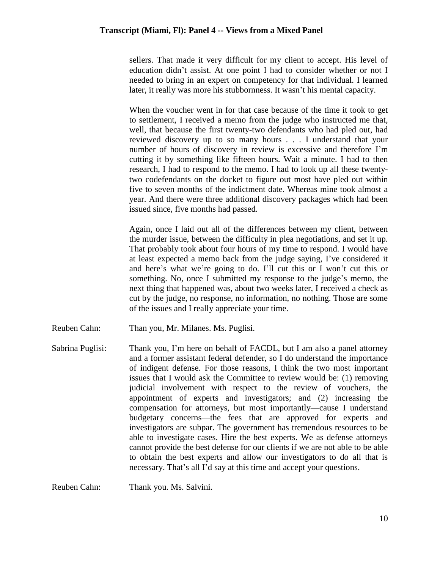sellers. That made it very difficult for my client to accept. His level of education didn't assist. At one point I had to consider whether or not I needed to bring in an expert on competency for that individual. I learned later, it really was more his stubbornness. It wasn't his mental capacity.

When the voucher went in for that case because of the time it took to get to settlement, I received a memo from the judge who instructed me that, well, that because the first twenty-two defendants who had pled out, had reviewed discovery up to so many hours . . . I understand that your number of hours of discovery in review is excessive and therefore I'm cutting it by something like fifteen hours. Wait a minute. I had to then research, I had to respond to the memo. I had to look up all these twentytwo codefendants on the docket to figure out most have pled out within five to seven months of the indictment date. Whereas mine took almost a year. And there were three additional discovery packages which had been issued since, five months had passed.

Again, once I laid out all of the differences between my client, between the murder issue, between the difficulty in plea negotiations, and set it up. That probably took about four hours of my time to respond. I would have at least expected a memo back from the judge saying, I've considered it and here's what we're going to do. I'll cut this or I won't cut this or something. No, once I submitted my response to the judge's memo, the next thing that happened was, about two weeks later, I received a check as cut by the judge, no response, no information, no nothing. Those are some of the issues and I really appreciate your time.

- Reuben Cahn: Than you, Mr. Milanes. Ms. Puglisi.
- Sabrina Puglisi: Thank you, I'm here on behalf of FACDL, but I am also a panel attorney and a former assistant federal defender, so I do understand the importance of indigent defense. For those reasons, I think the two most important issues that I would ask the Committee to review would be: (1) removing judicial involvement with respect to the review of vouchers, the appointment of experts and investigators; and (2) increasing the compensation for attorneys, but most importantly—cause I understand budgetary concerns—the fees that are approved for experts and investigators are subpar. The government has tremendous resources to be able to investigate cases. Hire the best experts. We as defense attorneys cannot provide the best defense for our clients if we are not able to be able to obtain the best experts and allow our investigators to do all that is necessary. That's all I'd say at this time and accept your questions.

Reuben Cahn: Thank you. Ms. Salvini.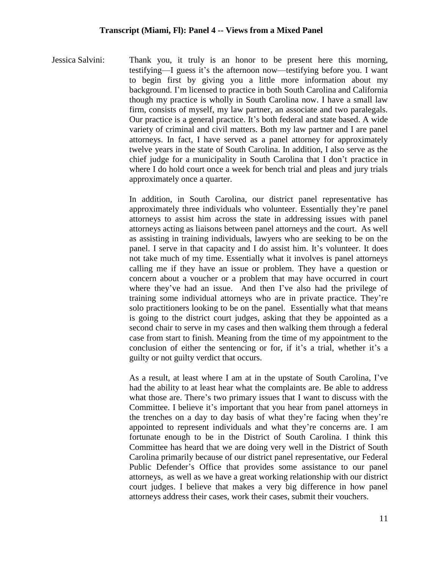Jessica Salvini: Thank you, it truly is an honor to be present here this morning, testifying—I guess it's the afternoon now—testifying before you. I want to begin first by giving you a little more information about my background. I'm licensed to practice in both South Carolina and California though my practice is wholly in South Carolina now. I have a small law firm, consists of myself, my law partner, an associate and two paralegals. Our practice is a general practice. It's both federal and state based. A wide variety of criminal and civil matters. Both my law partner and I are panel attorneys. In fact, I have served as a panel attorney for approximately twelve years in the state of South Carolina. In addition, I also serve as the chief judge for a municipality in South Carolina that I don't practice in where I do hold court once a week for bench trial and pleas and jury trials approximately once a quarter.

> In addition, in South Carolina, our district panel representative has approximately three individuals who volunteer. Essentially they're panel attorneys to assist him across the state in addressing issues with panel attorneys acting as liaisons between panel attorneys and the court. As well as assisting in training individuals, lawyers who are seeking to be on the panel. I serve in that capacity and I do assist him. It's volunteer. It does not take much of my time. Essentially what it involves is panel attorneys calling me if they have an issue or problem. They have a question or concern about a voucher or a problem that may have occurred in court where they've had an issue. And then I've also had the privilege of training some individual attorneys who are in private practice. They're solo practitioners looking to be on the panel. Essentially what that means is going to the district court judges, asking that they be appointed as a second chair to serve in my cases and then walking them through a federal case from start to finish. Meaning from the time of my appointment to the conclusion of either the sentencing or for, if it's a trial, whether it's a guilty or not guilty verdict that occurs.

> As a result, at least where I am at in the upstate of South Carolina, I've had the ability to at least hear what the complaints are. Be able to address what those are. There's two primary issues that I want to discuss with the Committee. I believe it's important that you hear from panel attorneys in the trenches on a day to day basis of what they're facing when they're appointed to represent individuals and what they're concerns are. I am fortunate enough to be in the District of South Carolina. I think this Committee has heard that we are doing very well in the District of South Carolina primarily because of our district panel representative, our Federal Public Defender's Office that provides some assistance to our panel attorneys, as well as we have a great working relationship with our district court judges. I believe that makes a very big difference in how panel attorneys address their cases, work their cases, submit their vouchers.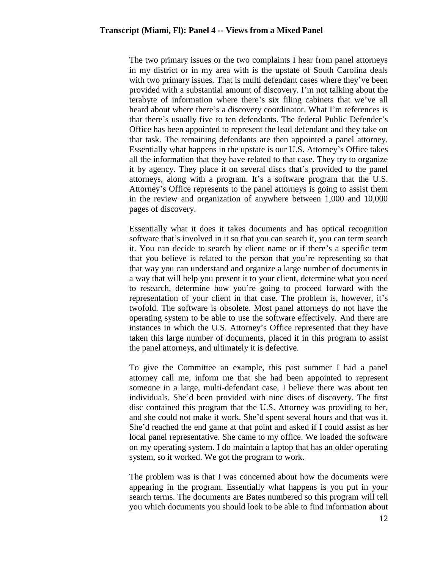The two primary issues or the two complaints I hear from panel attorneys in my district or in my area with is the upstate of South Carolina deals with two primary issues. That is multi defendant cases where they've been provided with a substantial amount of discovery. I'm not talking about the terabyte of information where there's six filing cabinets that we've all heard about where there's a discovery coordinator. What I'm references is that there's usually five to ten defendants. The federal Public Defender's Office has been appointed to represent the lead defendant and they take on that task. The remaining defendants are then appointed a panel attorney. Essentially what happens in the upstate is our U.S. Attorney's Office takes all the information that they have related to that case. They try to organize it by agency. They place it on several discs that's provided to the panel attorneys, along with a program. It's a software program that the U.S. Attorney's Office represents to the panel attorneys is going to assist them in the review and organization of anywhere between 1,000 and 10,000 pages of discovery.

Essentially what it does it takes documents and has optical recognition software that's involved in it so that you can search it, you can term search it. You can decide to search by client name or if there's a specific term that you believe is related to the person that you're representing so that that way you can understand and organize a large number of documents in a way that will help you present it to your client, determine what you need to research, determine how you're going to proceed forward with the representation of your client in that case. The problem is, however, it's twofold. The software is obsolete. Most panel attorneys do not have the operating system to be able to use the software effectively. And there are instances in which the U.S. Attorney's Office represented that they have taken this large number of documents, placed it in this program to assist the panel attorneys, and ultimately it is defective.

To give the Committee an example, this past summer I had a panel attorney call me, inform me that she had been appointed to represent someone in a large, multi-defendant case, I believe there was about ten individuals. She'd been provided with nine discs of discovery. The first disc contained this program that the U.S. Attorney was providing to her, and she could not make it work. She'd spent several hours and that was it. She'd reached the end game at that point and asked if I could assist as her local panel representative. She came to my office. We loaded the software on my operating system. I do maintain a laptop that has an older operating system, so it worked. We got the program to work.

The problem was is that I was concerned about how the documents were appearing in the program. Essentially what happens is you put in your search terms. The documents are Bates numbered so this program will tell you which documents you should look to be able to find information about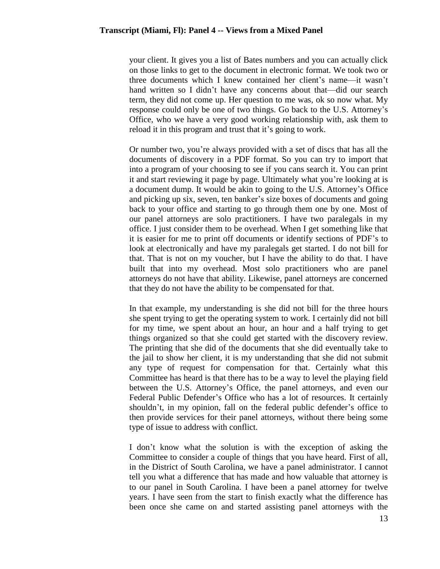your client. It gives you a list of Bates numbers and you can actually click on those links to get to the document in electronic format. We took two or three documents which I knew contained her client's name—it wasn't hand written so I didn't have any concerns about that—did our search term, they did not come up. Her question to me was, ok so now what. My response could only be one of two things. Go back to the U.S. Attorney's Office, who we have a very good working relationship with, ask them to reload it in this program and trust that it's going to work.

Or number two, you're always provided with a set of discs that has all the documents of discovery in a PDF format. So you can try to import that into a program of your choosing to see if you cans search it. You can print it and start reviewing it page by page. Ultimately what you're looking at is a document dump. It would be akin to going to the U.S. Attorney's Office and picking up six, seven, ten banker's size boxes of documents and going back to your office and starting to go through them one by one. Most of our panel attorneys are solo practitioners. I have two paralegals in my office. I just consider them to be overhead. When I get something like that it is easier for me to print off documents or identify sections of PDF's to look at electronically and have my paralegals get started. I do not bill for that. That is not on my voucher, but I have the ability to do that. I have built that into my overhead. Most solo practitioners who are panel attorneys do not have that ability. Likewise, panel attorneys are concerned that they do not have the ability to be compensated for that.

In that example, my understanding is she did not bill for the three hours she spent trying to get the operating system to work. I certainly did not bill for my time, we spent about an hour, an hour and a half trying to get things organized so that she could get started with the discovery review. The printing that she did of the documents that she did eventually take to the jail to show her client, it is my understanding that she did not submit any type of request for compensation for that. Certainly what this Committee has heard is that there has to be a way to level the playing field between the U.S. Attorney's Office, the panel attorneys, and even our Federal Public Defender's Office who has a lot of resources. It certainly shouldn't, in my opinion, fall on the federal public defender's office to then provide services for their panel attorneys, without there being some type of issue to address with conflict.

I don't know what the solution is with the exception of asking the Committee to consider a couple of things that you have heard. First of all, in the District of South Carolina, we have a panel administrator. I cannot tell you what a difference that has made and how valuable that attorney is to our panel in South Carolina. I have been a panel attorney for twelve years. I have seen from the start to finish exactly what the difference has been once she came on and started assisting panel attorneys with the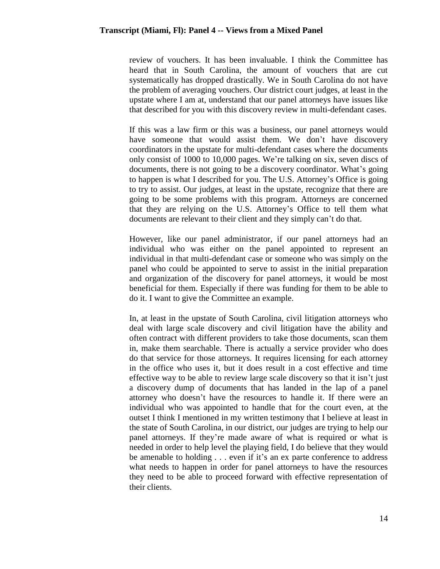review of vouchers. It has been invaluable. I think the Committee has heard that in South Carolina, the amount of vouchers that are cut systematically has dropped drastically. We in South Carolina do not have the problem of averaging vouchers. Our district court judges, at least in the upstate where I am at, understand that our panel attorneys have issues like that described for you with this discovery review in multi-defendant cases.

If this was a law firm or this was a business, our panel attorneys would have someone that would assist them. We don't have discovery coordinators in the upstate for multi-defendant cases where the documents only consist of 1000 to 10,000 pages. We're talking on six, seven discs of documents, there is not going to be a discovery coordinator. What's going to happen is what I described for you. The U.S. Attorney's Office is going to try to assist. Our judges, at least in the upstate, recognize that there are going to be some problems with this program. Attorneys are concerned that they are relying on the U.S. Attorney's Office to tell them what documents are relevant to their client and they simply can't do that.

However, like our panel administrator, if our panel attorneys had an individual who was either on the panel appointed to represent an individual in that multi-defendant case or someone who was simply on the panel who could be appointed to serve to assist in the initial preparation and organization of the discovery for panel attorneys, it would be most beneficial for them. Especially if there was funding for them to be able to do it. I want to give the Committee an example.

In, at least in the upstate of South Carolina, civil litigation attorneys who deal with large scale discovery and civil litigation have the ability and often contract with different providers to take those documents, scan them in, make them searchable. There is actually a service provider who does do that service for those attorneys. It requires licensing for each attorney in the office who uses it, but it does result in a cost effective and time effective way to be able to review large scale discovery so that it isn't just a discovery dump of documents that has landed in the lap of a panel attorney who doesn't have the resources to handle it. If there were an individual who was appointed to handle that for the court even, at the outset I think I mentioned in my written testimony that I believe at least in the state of South Carolina, in our district, our judges are trying to help our panel attorneys. If they're made aware of what is required or what is needed in order to help level the playing field, I do believe that they would be amenable to holding . . . even if it's an ex parte conference to address what needs to happen in order for panel attorneys to have the resources they need to be able to proceed forward with effective representation of their clients.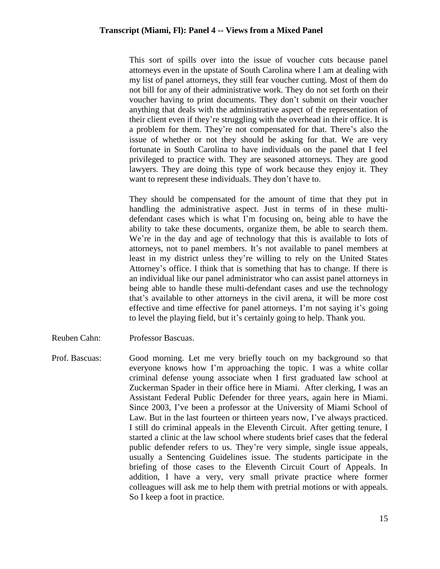This sort of spills over into the issue of voucher cuts because panel attorneys even in the upstate of South Carolina where I am at dealing with my list of panel attorneys, they still fear voucher cutting. Most of them do not bill for any of their administrative work. They do not set forth on their voucher having to print documents. They don't submit on their voucher anything that deals with the administrative aspect of the representation of their client even if they're struggling with the overhead in their office. It is a problem for them. They're not compensated for that. There's also the issue of whether or not they should be asking for that. We are very fortunate in South Carolina to have individuals on the panel that I feel privileged to practice with. They are seasoned attorneys. They are good lawyers. They are doing this type of work because they enjoy it. They want to represent these individuals. They don't have to.

They should be compensated for the amount of time that they put in handling the administrative aspect. Just in terms of in these multidefendant cases which is what I'm focusing on, being able to have the ability to take these documents, organize them, be able to search them. We're in the day and age of technology that this is available to lots of attorneys, not to panel members. It's not available to panel members at least in my district unless they're willing to rely on the United States Attorney's office. I think that is something that has to change. If there is an individual like our panel administrator who can assist panel attorneys in being able to handle these multi-defendant cases and use the technology that's available to other attorneys in the civil arena, it will be more cost effective and time effective for panel attorneys. I'm not saying it's going to level the playing field, but it's certainly going to help. Thank you.

- Reuben Cahn: Professor Bascuas.
- Prof. Bascuas: Good morning. Let me very briefly touch on my background so that everyone knows how I'm approaching the topic. I was a white collar criminal defense young associate when I first graduated law school at Zuckerman Spader in their office here in Miami. After clerking, I was an Assistant Federal Public Defender for three years, again here in Miami. Since 2003, I've been a professor at the University of Miami School of Law. But in the last fourteen or thirteen years now, I've always practiced. I still do criminal appeals in the Eleventh Circuit. After getting tenure, I started a clinic at the law school where students brief cases that the federal public defender refers to us. They're very simple, single issue appeals, usually a Sentencing Guidelines issue. The students participate in the briefing of those cases to the Eleventh Circuit Court of Appeals. In addition, I have a very, very small private practice where former colleagues will ask me to help them with pretrial motions or with appeals. So I keep a foot in practice.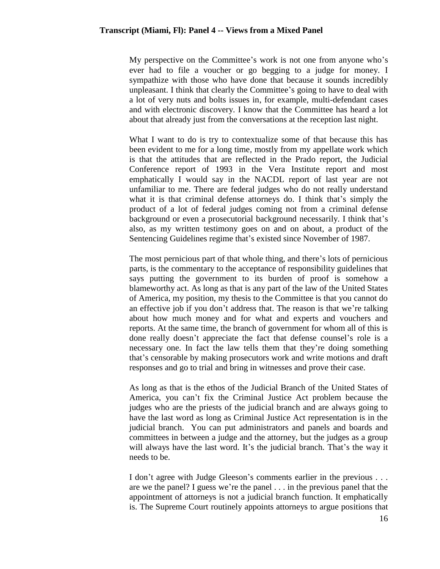My perspective on the Committee's work is not one from anyone who's ever had to file a voucher or go begging to a judge for money. I sympathize with those who have done that because it sounds incredibly unpleasant. I think that clearly the Committee's going to have to deal with a lot of very nuts and bolts issues in, for example, multi-defendant cases and with electronic discovery. I know that the Committee has heard a lot about that already just from the conversations at the reception last night.

What I want to do is try to contextualize some of that because this has been evident to me for a long time, mostly from my appellate work which is that the attitudes that are reflected in the Prado report, the Judicial Conference report of 1993 in the Vera Institute report and most emphatically I would say in the NACDL report of last year are not unfamiliar to me. There are federal judges who do not really understand what it is that criminal defense attorneys do. I think that's simply the product of a lot of federal judges coming not from a criminal defense background or even a prosecutorial background necessarily. I think that's also, as my written testimony goes on and on about, a product of the Sentencing Guidelines regime that's existed since November of 1987.

The most pernicious part of that whole thing, and there's lots of pernicious parts, is the commentary to the acceptance of responsibility guidelines that says putting the government to its burden of proof is somehow a blameworthy act. As long as that is any part of the law of the United States of America, my position, my thesis to the Committee is that you cannot do an effective job if you don't address that. The reason is that we're talking about how much money and for what and experts and vouchers and reports. At the same time, the branch of government for whom all of this is done really doesn't appreciate the fact that defense counsel's role is a necessary one. In fact the law tells them that they're doing something that's censorable by making prosecutors work and write motions and draft responses and go to trial and bring in witnesses and prove their case.

As long as that is the ethos of the Judicial Branch of the United States of America, you can't fix the Criminal Justice Act problem because the judges who are the priests of the judicial branch and are always going to have the last word as long as Criminal Justice Act representation is in the judicial branch. You can put administrators and panels and boards and committees in between a judge and the attorney, but the judges as a group will always have the last word. It's the judicial branch. That's the way it needs to be.

I don't agree with Judge Gleeson's comments earlier in the previous . . . are we the panel? I guess we're the panel . . . in the previous panel that the appointment of attorneys is not a judicial branch function. It emphatically is. The Supreme Court routinely appoints attorneys to argue positions that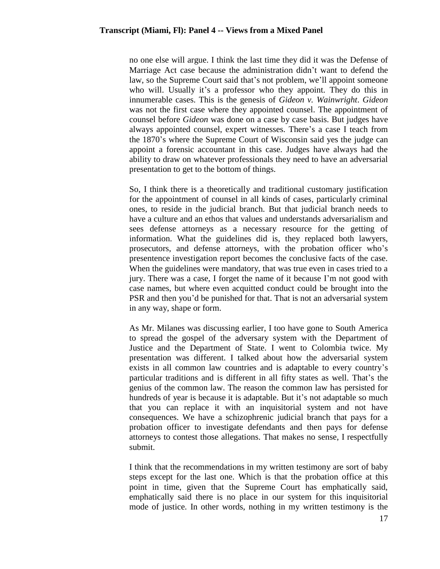no one else will argue. I think the last time they did it was the Defense of Marriage Act case because the administration didn't want to defend the law, so the Supreme Court said that's not problem, we'll appoint someone who will. Usually it's a professor who they appoint. They do this in innumerable cases. This is the genesis of *Gideon v. Wainwright*. *Gideon* was not the first case where they appointed counsel. The appointment of counsel before *Gideon* was done on a case by case basis. But judges have always appointed counsel, expert witnesses. There's a case I teach from the 1870's where the Supreme Court of Wisconsin said yes the judge can appoint a forensic accountant in this case. Judges have always had the ability to draw on whatever professionals they need to have an adversarial presentation to get to the bottom of things.

So, I think there is a theoretically and traditional customary justification for the appointment of counsel in all kinds of cases, particularly criminal ones, to reside in the judicial branch. But that judicial branch needs to have a culture and an ethos that values and understands adversarialism and sees defense attorneys as a necessary resource for the getting of information. What the guidelines did is, they replaced both lawyers, prosecutors, and defense attorneys, with the probation officer who's presentence investigation report becomes the conclusive facts of the case. When the guidelines were mandatory, that was true even in cases tried to a jury. There was a case, I forget the name of it because I'm not good with case names, but where even acquitted conduct could be brought into the PSR and then you'd be punished for that. That is not an adversarial system in any way, shape or form.

As Mr. Milanes was discussing earlier, I too have gone to South America to spread the gospel of the adversary system with the Department of Justice and the Department of State. I went to Colombia twice. My presentation was different. I talked about how the adversarial system exists in all common law countries and is adaptable to every country's particular traditions and is different in all fifty states as well. That's the genius of the common law. The reason the common law has persisted for hundreds of year is because it is adaptable. But it's not adaptable so much that you can replace it with an inquisitorial system and not have consequences. We have a schizophrenic judicial branch that pays for a probation officer to investigate defendants and then pays for defense attorneys to contest those allegations. That makes no sense, I respectfully submit.

I think that the recommendations in my written testimony are sort of baby steps except for the last one. Which is that the probation office at this point in time, given that the Supreme Court has emphatically said, emphatically said there is no place in our system for this inquisitorial mode of justice. In other words, nothing in my written testimony is the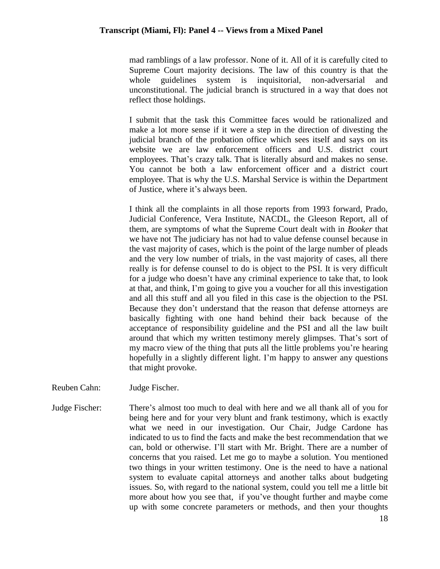mad ramblings of a law professor. None of it. All of it is carefully cited to Supreme Court majority decisions. The law of this country is that the whole guidelines system is inquisitorial, non-adversarial and unconstitutional. The judicial branch is structured in a way that does not reflect those holdings.

I submit that the task this Committee faces would be rationalized and make a lot more sense if it were a step in the direction of divesting the judicial branch of the probation office which sees itself and says on its website we are law enforcement officers and U.S. district court employees. That's crazy talk. That is literally absurd and makes no sense. You cannot be both a law enforcement officer and a district court employee. That is why the U.S. Marshal Service is within the Department of Justice, where it's always been.

I think all the complaints in all those reports from 1993 forward, Prado, Judicial Conference, Vera Institute, NACDL, the Gleeson Report, all of them, are symptoms of what the Supreme Court dealt with in *Booker* that we have not The judiciary has not had to value defense counsel because in the vast majority of cases, which is the point of the large number of pleads and the very low number of trials, in the vast majority of cases, all there really is for defense counsel to do is object to the PSI. It is very difficult for a judge who doesn't have any criminal experience to take that, to look at that, and think, I'm going to give you a voucher for all this investigation and all this stuff and all you filed in this case is the objection to the PSI. Because they don't understand that the reason that defense attorneys are basically fighting with one hand behind their back because of the acceptance of responsibility guideline and the PSI and all the law built around that which my written testimony merely glimpses. That's sort of my macro view of the thing that puts all the little problems you're hearing hopefully in a slightly different light. I'm happy to answer any questions that might provoke.

- Reuben Cahn: Judge Fischer.
- Judge Fischer: There's almost too much to deal with here and we all thank all of you for being here and for your very blunt and frank testimony, which is exactly what we need in our investigation. Our Chair, Judge Cardone has indicated to us to find the facts and make the best recommendation that we can, bold or otherwise. I'll start with Mr. Bright. There are a number of concerns that you raised. Let me go to maybe a solution. You mentioned two things in your written testimony. One is the need to have a national system to evaluate capital attorneys and another talks about budgeting issues. So, with regard to the national system, could you tell me a little bit more about how you see that, if you've thought further and maybe come up with some concrete parameters or methods, and then your thoughts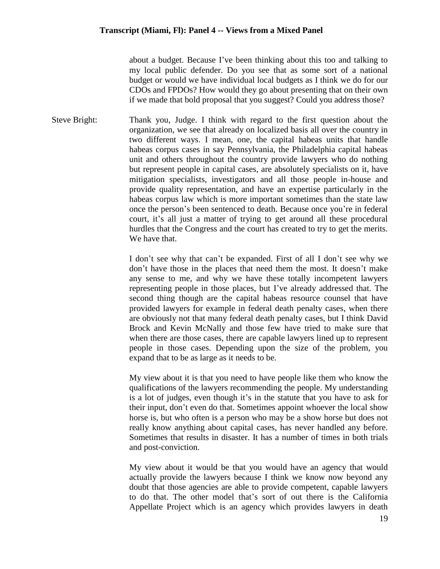about a budget. Because I've been thinking about this too and talking to my local public defender. Do you see that as some sort of a national budget or would we have individual local budgets as I think we do for our CDOs and FPDOs? How would they go about presenting that on their own if we made that bold proposal that you suggest? Could you address those?

Steve Bright: Thank you, Judge. I think with regard to the first question about the organization, we see that already on localized basis all over the country in two different ways. I mean, one, the capital habeas units that handle habeas corpus cases in say Pennsylvania, the Philadelphia capital habeas unit and others throughout the country provide lawyers who do nothing but represent people in capital cases, are absolutely specialists on it, have mitigation specialists, investigators and all those people in-house and provide quality representation, and have an expertise particularly in the habeas corpus law which is more important sometimes than the state law once the person's been sentenced to death. Because once you're in federal court, it's all just a matter of trying to get around all these procedural hurdles that the Congress and the court has created to try to get the merits. We have that.

> I don't see why that can't be expanded. First of all I don't see why we don't have those in the places that need them the most. It doesn't make any sense to me, and why we have these totally incompetent lawyers representing people in those places, but I've already addressed that. The second thing though are the capital habeas resource counsel that have provided lawyers for example in federal death penalty cases, when there are obviously not that many federal death penalty cases, but I think David Brock and Kevin McNally and those few have tried to make sure that when there are those cases, there are capable lawyers lined up to represent people in those cases. Depending upon the size of the problem, you expand that to be as large as it needs to be.

> My view about it is that you need to have people like them who know the qualifications of the lawyers recommending the people. My understanding is a lot of judges, even though it's in the statute that you have to ask for their input, don't even do that. Sometimes appoint whoever the local show horse is, but who often is a person who may be a show horse but does not really know anything about capital cases, has never handled any before. Sometimes that results in disaster. It has a number of times in both trials and post-conviction.

> My view about it would be that you would have an agency that would actually provide the lawyers because I think we know now beyond any doubt that those agencies are able to provide competent, capable lawyers to do that. The other model that's sort of out there is the California Appellate Project which is an agency which provides lawyers in death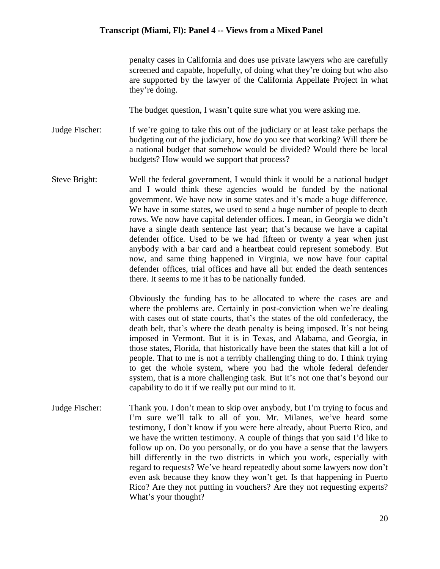penalty cases in California and does use private lawyers who are carefully screened and capable, hopefully, of doing what they're doing but who also are supported by the lawyer of the California Appellate Project in what they're doing.

The budget question, I wasn't quite sure what you were asking me.

Judge Fischer: If we're going to take this out of the judiciary or at least take perhaps the budgeting out of the judiciary, how do you see that working? Will there be a national budget that somehow would be divided? Would there be local budgets? How would we support that process?

Steve Bright: Well the federal government, I would think it would be a national budget and I would think these agencies would be funded by the national government. We have now in some states and it's made a huge difference. We have in some states, we used to send a huge number of people to death rows. We now have capital defender offices. I mean, in Georgia we didn't have a single death sentence last year; that's because we have a capital defender office. Used to be we had fifteen or twenty a year when just anybody with a bar card and a heartbeat could represent somebody. But now, and same thing happened in Virginia, we now have four capital defender offices, trial offices and have all but ended the death sentences there. It seems to me it has to be nationally funded.

> Obviously the funding has to be allocated to where the cases are and where the problems are. Certainly in post-conviction when we're dealing with cases out of state courts, that's the states of the old confederacy, the death belt, that's where the death penalty is being imposed. It's not being imposed in Vermont. But it is in Texas, and Alabama, and Georgia, in those states, Florida, that historically have been the states that kill a lot of people. That to me is not a terribly challenging thing to do. I think trying to get the whole system, where you had the whole federal defender system, that is a more challenging task. But it's not one that's beyond our capability to do it if we really put our mind to it.

Judge Fischer: Thank you. I don't mean to skip over anybody, but I'm trying to focus and I'm sure we'll talk to all of you. Mr. Milanes, we've heard some testimony, I don't know if you were here already, about Puerto Rico, and we have the written testimony. A couple of things that you said I'd like to follow up on. Do you personally, or do you have a sense that the lawyers bill differently in the two districts in which you work, especially with regard to requests? We've heard repeatedly about some lawyers now don't even ask because they know they won't get. Is that happening in Puerto Rico? Are they not putting in vouchers? Are they not requesting experts? What's your thought?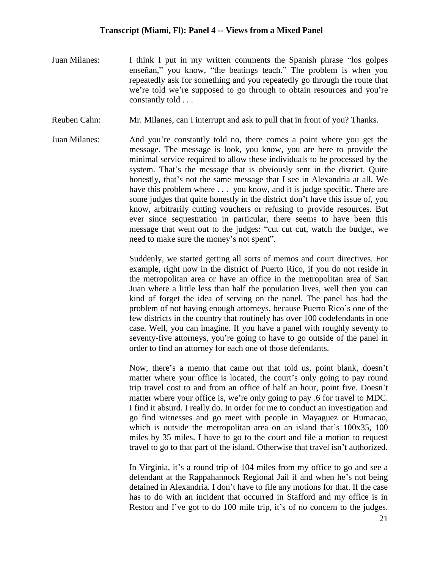- Juan Milanes: I think I put in my written comments the Spanish phrase "los golpes enseñan," you know, "the beatings teach." The problem is when you repeatedly ask for something and you repeatedly go through the route that we're told we're supposed to go through to obtain resources and you're constantly told . . .
- Reuben Cahn: Mr. Milanes, can I interrupt and ask to pull that in front of you? Thanks.
- Juan Milanes: And you're constantly told no, there comes a point where you get the message. The message is look, you know, you are here to provide the minimal service required to allow these individuals to be processed by the system. That's the message that is obviously sent in the district. Quite honestly, that's not the same message that I see in Alexandria at all. We have this problem where ... you know, and it is judge specific. There are some judges that quite honestly in the district don't have this issue of, you know, arbitrarily cutting vouchers or refusing to provide resources. But ever since sequestration in particular, there seems to have been this message that went out to the judges: "cut cut cut, watch the budget, we need to make sure the money's not spent".

Suddenly, we started getting all sorts of memos and court directives. For example, right now in the district of Puerto Rico, if you do not reside in the metropolitan area or have an office in the metropolitan area of San Juan where a little less than half the population lives, well then you can kind of forget the idea of serving on the panel. The panel has had the problem of not having enough attorneys, because Puerto Rico's one of the few districts in the country that routinely has over 100 codefendants in one case. Well, you can imagine. If you have a panel with roughly seventy to seventy-five attorneys, you're going to have to go outside of the panel in order to find an attorney for each one of those defendants.

Now, there's a memo that came out that told us, point blank, doesn't matter where your office is located, the court's only going to pay round trip travel cost to and from an office of half an hour, point five. Doesn't matter where your office is, we're only going to pay .6 for travel to MDC. I find it absurd. I really do. In order for me to conduct an investigation and go find witnesses and go meet with people in Mayaguez or Humacao, which is outside the metropolitan area on an island that's 100x35, 100 miles by 35 miles. I have to go to the court and file a motion to request travel to go to that part of the island. Otherwise that travel isn't authorized.

In Virginia, it's a round trip of 104 miles from my office to go and see a defendant at the Rappahannock Regional Jail if and when he's not being detained in Alexandria. I don't have to file any motions for that. If the case has to do with an incident that occurred in Stafford and my office is in Reston and I've got to do 100 mile trip, it's of no concern to the judges.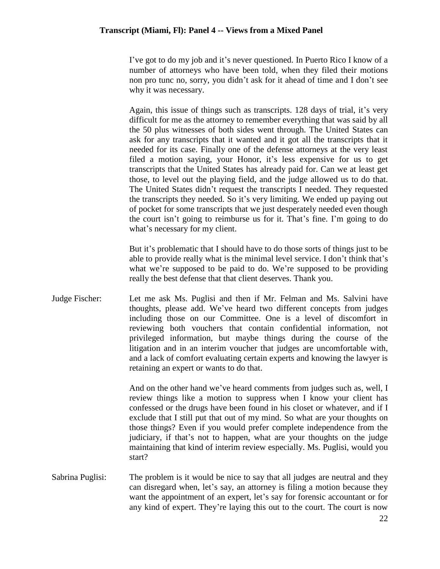I've got to do my job and it's never questioned. In Puerto Rico I know of a number of attorneys who have been told, when they filed their motions non pro tunc no, sorry, you didn't ask for it ahead of time and I don't see why it was necessary.

Again, this issue of things such as transcripts. 128 days of trial, it's very difficult for me as the attorney to remember everything that was said by all the 50 plus witnesses of both sides went through. The United States can ask for any transcripts that it wanted and it got all the transcripts that it needed for its case. Finally one of the defense attorneys at the very least filed a motion saying, your Honor, it's less expensive for us to get transcripts that the United States has already paid for. Can we at least get those, to level out the playing field, and the judge allowed us to do that. The United States didn't request the transcripts I needed. They requested the transcripts they needed. So it's very limiting. We ended up paying out of pocket for some transcripts that we just desperately needed even though the court isn't going to reimburse us for it. That's fine. I'm going to do what's necessary for my client.

But it's problematic that I should have to do those sorts of things just to be able to provide really what is the minimal level service. I don't think that's what we're supposed to be paid to do. We're supposed to be providing really the best defense that that client deserves. Thank you.

Judge Fischer: Let me ask Ms. Puglisi and then if Mr. Felman and Ms. Salvini have thoughts, please add. We've heard two different concepts from judges including those on our Committee. One is a level of discomfort in reviewing both vouchers that contain confidential information, not privileged information, but maybe things during the course of the litigation and in an interim voucher that judges are uncomfortable with, and a lack of comfort evaluating certain experts and knowing the lawyer is retaining an expert or wants to do that.

> And on the other hand we've heard comments from judges such as, well, I review things like a motion to suppress when I know your client has confessed or the drugs have been found in his closet or whatever, and if I exclude that I still put that out of my mind. So what are your thoughts on those things? Even if you would prefer complete independence from the judiciary, if that's not to happen, what are your thoughts on the judge maintaining that kind of interim review especially. Ms. Puglisi, would you start?

Sabrina Puglisi: The problem is it would be nice to say that all judges are neutral and they can disregard when, let's say, an attorney is filing a motion because they want the appointment of an expert, let's say for forensic accountant or for any kind of expert. They're laying this out to the court. The court is now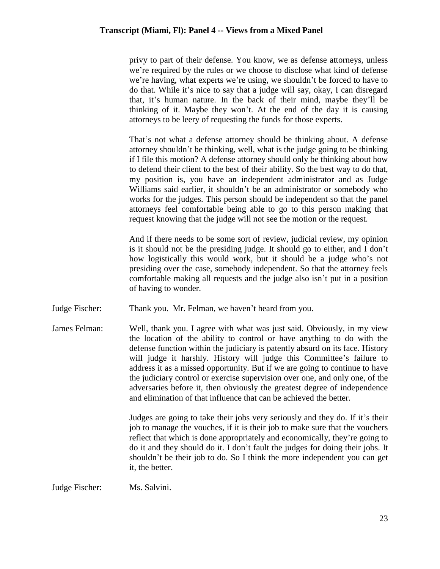privy to part of their defense. You know, we as defense attorneys, unless we're required by the rules or we choose to disclose what kind of defense we're having, what experts we're using, we shouldn't be forced to have to do that. While it's nice to say that a judge will say, okay, I can disregard that, it's human nature. In the back of their mind, maybe they'll be thinking of it. Maybe they won't. At the end of the day it is causing attorneys to be leery of requesting the funds for those experts.

That's not what a defense attorney should be thinking about. A defense attorney shouldn't be thinking, well, what is the judge going to be thinking if I file this motion? A defense attorney should only be thinking about how to defend their client to the best of their ability. So the best way to do that, my position is, you have an independent administrator and as Judge Williams said earlier, it shouldn't be an administrator or somebody who works for the judges. This person should be independent so that the panel attorneys feel comfortable being able to go to this person making that request knowing that the judge will not see the motion or the request.

And if there needs to be some sort of review, judicial review, my opinion is it should not be the presiding judge. It should go to either, and I don't how logistically this would work, but it should be a judge who's not presiding over the case, somebody independent. So that the attorney feels comfortable making all requests and the judge also isn't put in a position of having to wonder.

Judge Fischer: Thank you. Mr. Felman, we haven't heard from you.

James Felman: Well, thank you. I agree with what was just said. Obviously, in my view the location of the ability to control or have anything to do with the defense function within the judiciary is patently absurd on its face. History will judge it harshly. History will judge this Committee's failure to address it as a missed opportunity. But if we are going to continue to have the judiciary control or exercise supervision over one, and only one, of the adversaries before it, then obviously the greatest degree of independence and elimination of that influence that can be achieved the better.

> Judges are going to take their jobs very seriously and they do. If it's their job to manage the vouches, if it is their job to make sure that the vouchers reflect that which is done appropriately and economically, they're going to do it and they should do it. I don't fault the judges for doing their jobs. It shouldn't be their job to do. So I think the more independent you can get it, the better.

Judge Fischer: Ms. Salvini.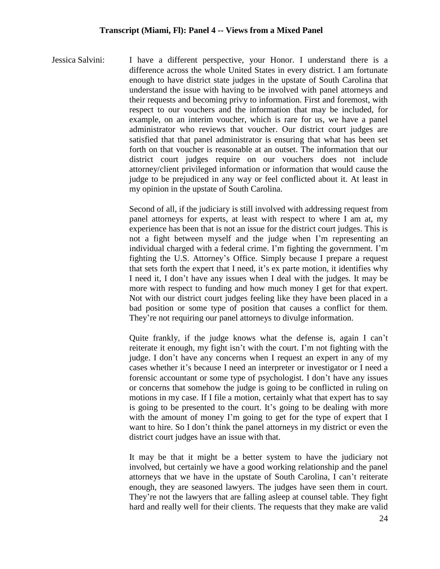Jessica Salvini: I have a different perspective, your Honor. I understand there is a difference across the whole United States in every district. I am fortunate enough to have district state judges in the upstate of South Carolina that understand the issue with having to be involved with panel attorneys and their requests and becoming privy to information. First and foremost, with respect to our vouchers and the information that may be included, for example, on an interim voucher, which is rare for us, we have a panel administrator who reviews that voucher. Our district court judges are satisfied that that panel administrator is ensuring that what has been set forth on that voucher is reasonable at an outset. The information that our district court judges require on our vouchers does not include attorney/client privileged information or information that would cause the judge to be prejudiced in any way or feel conflicted about it. At least in my opinion in the upstate of South Carolina.

> Second of all, if the judiciary is still involved with addressing request from panel attorneys for experts, at least with respect to where I am at, my experience has been that is not an issue for the district court judges. This is not a fight between myself and the judge when I'm representing an individual charged with a federal crime. I'm fighting the government. I'm fighting the U.S. Attorney's Office. Simply because I prepare a request that sets forth the expert that I need, it's ex parte motion, it identifies why I need it, I don't have any issues when I deal with the judges. It may be more with respect to funding and how much money I get for that expert. Not with our district court judges feeling like they have been placed in a bad position or some type of position that causes a conflict for them. They're not requiring our panel attorneys to divulge information.

> Quite frankly, if the judge knows what the defense is, again I can't reiterate it enough, my fight isn't with the court. I'm not fighting with the judge. I don't have any concerns when I request an expert in any of my cases whether it's because I need an interpreter or investigator or I need a forensic accountant or some type of psychologist. I don't have any issues or concerns that somehow the judge is going to be conflicted in ruling on motions in my case. If I file a motion, certainly what that expert has to say is going to be presented to the court. It's going to be dealing with more with the amount of money I'm going to get for the type of expert that I want to hire. So I don't think the panel attorneys in my district or even the district court judges have an issue with that.

> It may be that it might be a better system to have the judiciary not involved, but certainly we have a good working relationship and the panel attorneys that we have in the upstate of South Carolina, I can't reiterate enough, they are seasoned lawyers. The judges have seen them in court. They're not the lawyers that are falling asleep at counsel table. They fight hard and really well for their clients. The requests that they make are valid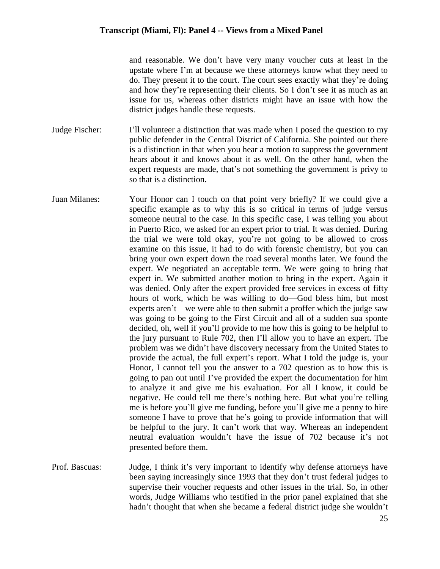and reasonable. We don't have very many voucher cuts at least in the upstate where I'm at because we these attorneys know what they need to do. They present it to the court. The court sees exactly what they're doing and how they're representing their clients. So I don't see it as much as an issue for us, whereas other districts might have an issue with how the district judges handle these requests.

- Judge Fischer: I'll volunteer a distinction that was made when I posed the question to my public defender in the Central District of California. She pointed out there is a distinction in that when you hear a motion to suppress the government hears about it and knows about it as well. On the other hand, when the expert requests are made, that's not something the government is privy to so that is a distinction.
- Juan Milanes: Your Honor can I touch on that point very briefly? If we could give a specific example as to why this is so critical in terms of judge versus someone neutral to the case. In this specific case, I was telling you about in Puerto Rico, we asked for an expert prior to trial. It was denied. During the trial we were told okay, you're not going to be allowed to cross examine on this issue, it had to do with forensic chemistry, but you can bring your own expert down the road several months later. We found the expert. We negotiated an acceptable term. We were going to bring that expert in. We submitted another motion to bring in the expert. Again it was denied. Only after the expert provided free services in excess of fifty hours of work, which he was willing to do—God bless him, but most experts aren't—we were able to then submit a proffer which the judge saw was going to be going to the First Circuit and all of a sudden sua sponte decided, oh, well if you'll provide to me how this is going to be helpful to the jury pursuant to Rule 702, then I'll allow you to have an expert. The problem was we didn't have discovery necessary from the United States to provide the actual, the full expert's report. What I told the judge is, your Honor, I cannot tell you the answer to a 702 question as to how this is going to pan out until I've provided the expert the documentation for him to analyze it and give me his evaluation. For all I know, it could be negative. He could tell me there's nothing here. But what you're telling me is before you'll give me funding, before you'll give me a penny to hire someone I have to prove that he's going to provide information that will be helpful to the jury. It can't work that way. Whereas an independent neutral evaluation wouldn't have the issue of 702 because it's not presented before them.
- Prof. Bascuas: Judge, I think it's very important to identify why defense attorneys have been saying increasingly since 1993 that they don't trust federal judges to supervise their voucher requests and other issues in the trial. So, in other words, Judge Williams who testified in the prior panel explained that she hadn't thought that when she became a federal district judge she wouldn't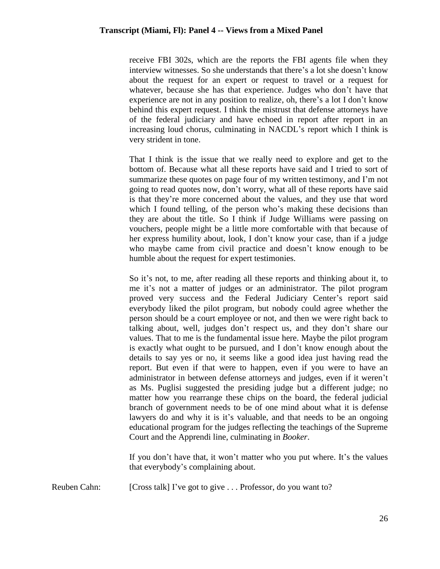receive FBI 302s, which are the reports the FBI agents file when they interview witnesses. So she understands that there's a lot she doesn't know about the request for an expert or request to travel or a request for whatever, because she has that experience. Judges who don't have that experience are not in any position to realize, oh, there's a lot I don't know behind this expert request. I think the mistrust that defense attorneys have of the federal judiciary and have echoed in report after report in an increasing loud chorus, culminating in NACDL's report which I think is very strident in tone.

That I think is the issue that we really need to explore and get to the bottom of. Because what all these reports have said and I tried to sort of summarize these quotes on page four of my written testimony, and I'm not going to read quotes now, don't worry, what all of these reports have said is that they're more concerned about the values, and they use that word which I found telling, of the person who's making these decisions than they are about the title. So I think if Judge Williams were passing on vouchers, people might be a little more comfortable with that because of her express humility about, look, I don't know your case, than if a judge who maybe came from civil practice and doesn't know enough to be humble about the request for expert testimonies.

So it's not, to me, after reading all these reports and thinking about it, to me it's not a matter of judges or an administrator. The pilot program proved very success and the Federal Judiciary Center's report said everybody liked the pilot program, but nobody could agree whether the person should be a court employee or not, and then we were right back to talking about, well, judges don't respect us, and they don't share our values. That to me is the fundamental issue here. Maybe the pilot program is exactly what ought to be pursued, and I don't know enough about the details to say yes or no, it seems like a good idea just having read the report. But even if that were to happen, even if you were to have an administrator in between defense attorneys and judges, even if it weren't as Ms. Puglisi suggested the presiding judge but a different judge; no matter how you rearrange these chips on the board, the federal judicial branch of government needs to be of one mind about what it is defense lawyers do and why it is it's valuable, and that needs to be an ongoing educational program for the judges reflecting the teachings of the Supreme Court and the Apprendi line, culminating in *Booker*.

If you don't have that, it won't matter who you put where. It's the values that everybody's complaining about.

Reuben Cahn: [Cross talk] I've got to give . . . Professor, do you want to?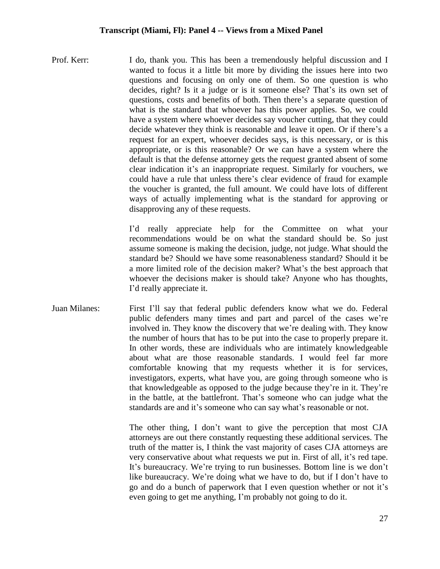Prof. Kerr: I do, thank you. This has been a tremendously helpful discussion and I wanted to focus it a little bit more by dividing the issues here into two questions and focusing on only one of them. So one question is who decides, right? Is it a judge or is it someone else? That's its own set of questions, costs and benefits of both. Then there's a separate question of what is the standard that whoever has this power applies. So, we could have a system where whoever decides say voucher cutting, that they could decide whatever they think is reasonable and leave it open. Or if there's a request for an expert, whoever decides says, is this necessary, or is this appropriate, or is this reasonable? Or we can have a system where the default is that the defense attorney gets the request granted absent of some clear indication it's an inappropriate request. Similarly for vouchers, we could have a rule that unless there's clear evidence of fraud for example the voucher is granted, the full amount. We could have lots of different ways of actually implementing what is the standard for approving or disapproving any of these requests.

> I'd really appreciate help for the Committee on what your recommendations would be on what the standard should be. So just assume someone is making the decision, judge, not judge. What should the standard be? Should we have some reasonableness standard? Should it be a more limited role of the decision maker? What's the best approach that whoever the decisions maker is should take? Anyone who has thoughts, I'd really appreciate it.

Juan Milanes: First I'll say that federal public defenders know what we do. Federal public defenders many times and part and parcel of the cases we're involved in. They know the discovery that we're dealing with. They know the number of hours that has to be put into the case to properly prepare it. In other words, these are individuals who are intimately knowledgeable about what are those reasonable standards. I would feel far more comfortable knowing that my requests whether it is for services, investigators, experts, what have you, are going through someone who is that knowledgeable as opposed to the judge because they're in it. They're in the battle, at the battlefront. That's someone who can judge what the standards are and it's someone who can say what's reasonable or not.

> The other thing, I don't want to give the perception that most CJA attorneys are out there constantly requesting these additional services. The truth of the matter is, I think the vast majority of cases CJA attorneys are very conservative about what requests we put in. First of all, it's red tape. It's bureaucracy. We're trying to run businesses. Bottom line is we don't like bureaucracy. We're doing what we have to do, but if I don't have to go and do a bunch of paperwork that I even question whether or not it's even going to get me anything, I'm probably not going to do it.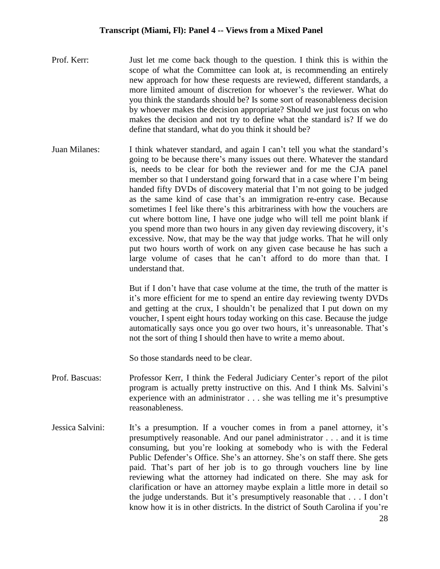- Prof. Kerr: Just let me come back though to the question. I think this is within the scope of what the Committee can look at, is recommending an entirely new approach for how these requests are reviewed, different standards, a more limited amount of discretion for whoever's the reviewer. What do you think the standards should be? Is some sort of reasonableness decision by whoever makes the decision appropriate? Should we just focus on who makes the decision and not try to define what the standard is? If we do define that standard, what do you think it should be?
- Juan Milanes: I think whatever standard, and again I can't tell you what the standard's going to be because there's many issues out there. Whatever the standard is, needs to be clear for both the reviewer and for me the CJA panel member so that I understand going forward that in a case where I'm being handed fifty DVDs of discovery material that I'm not going to be judged as the same kind of case that's an immigration re-entry case. Because sometimes I feel like there's this arbitrariness with how the vouchers are cut where bottom line, I have one judge who will tell me point blank if you spend more than two hours in any given day reviewing discovery, it's excessive. Now, that may be the way that judge works. That he will only put two hours worth of work on any given case because he has such a large volume of cases that he can't afford to do more than that. I understand that.

But if I don't have that case volume at the time, the truth of the matter is it's more efficient for me to spend an entire day reviewing twenty DVDs and getting at the crux, I shouldn't be penalized that I put down on my voucher, I spent eight hours today working on this case. Because the judge automatically says once you go over two hours, it's unreasonable. That's not the sort of thing I should then have to write a memo about.

So those standards need to be clear.

- Prof. Bascuas: Professor Kerr, I think the Federal Judiciary Center's report of the pilot program is actually pretty instructive on this. And I think Ms. Salvini's experience with an administrator . . . she was telling me it's presumptive reasonableness.
- Jessica Salvini: It's a presumption. If a voucher comes in from a panel attorney, it's presumptively reasonable. And our panel administrator . . . and it is time consuming, but you're looking at somebody who is with the Federal Public Defender's Office. She's an attorney. She's on staff there. She gets paid. That's part of her job is to go through vouchers line by line reviewing what the attorney had indicated on there. She may ask for clarification or have an attorney maybe explain a little more in detail so the judge understands. But it's presumptively reasonable that . . . I don't know how it is in other districts. In the district of South Carolina if you're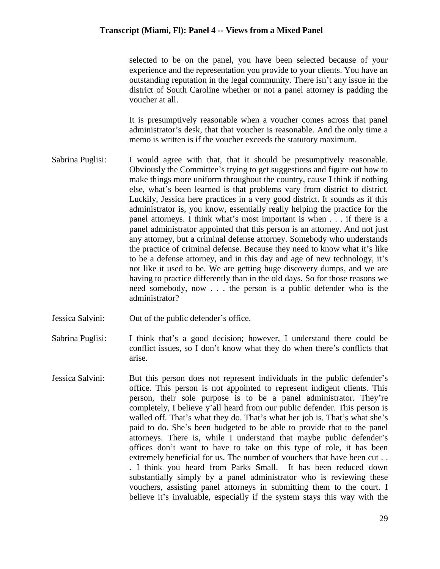selected to be on the panel, you have been selected because of your experience and the representation you provide to your clients. You have an outstanding reputation in the legal community. There isn't any issue in the district of South Caroline whether or not a panel attorney is padding the voucher at all.

It is presumptively reasonable when a voucher comes across that panel administrator's desk, that that voucher is reasonable. And the only time a memo is written is if the voucher exceeds the statutory maximum.

- Sabrina Puglisi: I would agree with that, that it should be presumptively reasonable. Obviously the Committee's trying to get suggestions and figure out how to make things more uniform throughout the country, cause I think if nothing else, what's been learned is that problems vary from district to district. Luckily, Jessica here practices in a very good district. It sounds as if this administrator is, you know, essentially really helping the practice for the panel attorneys. I think what's most important is when . . . if there is a panel administrator appointed that this person is an attorney. And not just any attorney, but a criminal defense attorney. Somebody who understands the practice of criminal defense. Because they need to know what it's like to be a defense attorney, and in this day and age of new technology, it's not like it used to be. We are getting huge discovery dumps, and we are having to practice differently than in the old days. So for those reasons we need somebody, now . . . the person is a public defender who is the administrator?
- Jessica Salvini: Out of the public defender's office.
- Sabrina Puglisi: I think that's a good decision; however, I understand there could be conflict issues, so I don't know what they do when there's conflicts that arise.
- Jessica Salvini: But this person does not represent individuals in the public defender's office. This person is not appointed to represent indigent clients. This person, their sole purpose is to be a panel administrator. They're completely, I believe y'all heard from our public defender. This person is walled off. That's what they do. That's what her job is. That's what she's paid to do. She's been budgeted to be able to provide that to the panel attorneys. There is, while I understand that maybe public defender's offices don't want to have to take on this type of role, it has been extremely beneficial for us. The number of vouchers that have been cut... . I think you heard from Parks Small. It has been reduced down substantially simply by a panel administrator who is reviewing these vouchers, assisting panel attorneys in submitting them to the court. I believe it's invaluable, especially if the system stays this way with the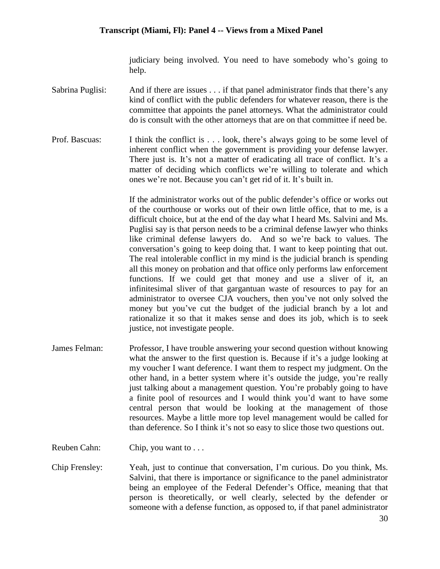judiciary being involved. You need to have somebody who's going to help.

- Sabrina Puglisi: And if there are issues . . . if that panel administrator finds that there's any kind of conflict with the public defenders for whatever reason, there is the committee that appoints the panel attorneys. What the administrator could do is consult with the other attorneys that are on that committee if need be.
- Prof. Bascuas: I think the conflict is . . . look, there's always going to be some level of inherent conflict when the government is providing your defense lawyer. There just is. It's not a matter of eradicating all trace of conflict. It's a matter of deciding which conflicts we're willing to tolerate and which ones we're not. Because you can't get rid of it. It's built in.

If the administrator works out of the public defender's office or works out of the courthouse or works out of their own little office, that to me, is a difficult choice, but at the end of the day what I heard Ms. Salvini and Ms. Puglisi say is that person needs to be a criminal defense lawyer who thinks like criminal defense lawyers do. And so we're back to values. The conversation's going to keep doing that. I want to keep pointing that out. The real intolerable conflict in my mind is the judicial branch is spending all this money on probation and that office only performs law enforcement functions. If we could get that money and use a sliver of it, an infinitesimal sliver of that gargantuan waste of resources to pay for an administrator to oversee CJA vouchers, then you've not only solved the money but you've cut the budget of the judicial branch by a lot and rationalize it so that it makes sense and does its job, which is to seek justice, not investigate people.

- James Felman: Professor, I have trouble answering your second question without knowing what the answer to the first question is. Because if it's a judge looking at my voucher I want deference. I want them to respect my judgment. On the other hand, in a better system where it's outside the judge, you're really just talking about a management question. You're probably going to have a finite pool of resources and I would think you'd want to have some central person that would be looking at the management of those resources. Maybe a little more top level management would be called for than deference. So I think it's not so easy to slice those two questions out.
- Reuben Cahn: Chip, you want to ...
- Chip Frensley: Yeah, just to continue that conversation, I'm curious. Do you think, Ms. Salvini, that there is importance or significance to the panel administrator being an employee of the Federal Defender's Office, meaning that that person is theoretically, or well clearly, selected by the defender or someone with a defense function, as opposed to, if that panel administrator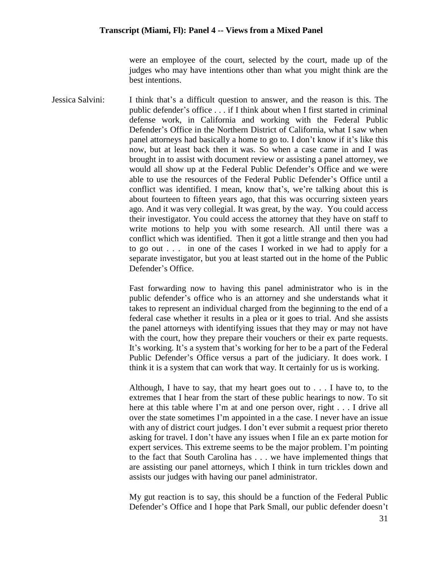were an employee of the court, selected by the court, made up of the judges who may have intentions other than what you might think are the best intentions.

Jessica Salvini: I think that's a difficult question to answer, and the reason is this. The public defender's office . . . if I think about when I first started in criminal defense work, in California and working with the Federal Public Defender's Office in the Northern District of California, what I saw when panel attorneys had basically a home to go to. I don't know if it's like this now, but at least back then it was. So when a case came in and I was brought in to assist with document review or assisting a panel attorney, we would all show up at the Federal Public Defender's Office and we were able to use the resources of the Federal Public Defender's Office until a conflict was identified. I mean, know that's, we're talking about this is about fourteen to fifteen years ago, that this was occurring sixteen years ago. And it was very collegial. It was great, by the way. You could access their investigator. You could access the attorney that they have on staff to write motions to help you with some research. All until there was a conflict which was identified. Then it got a little strange and then you had to go out . . . in one of the cases I worked in we had to apply for a separate investigator, but you at least started out in the home of the Public Defender's Office.

> Fast forwarding now to having this panel administrator who is in the public defender's office who is an attorney and she understands what it takes to represent an individual charged from the beginning to the end of a federal case whether it results in a plea or it goes to trial. And she assists the panel attorneys with identifying issues that they may or may not have with the court, how they prepare their vouchers or their ex parte requests. It's working. It's a system that's working for her to be a part of the Federal Public Defender's Office versus a part of the judiciary. It does work. I think it is a system that can work that way. It certainly for us is working.

> Although, I have to say, that my heart goes out to . . . I have to, to the extremes that I hear from the start of these public hearings to now. To sit here at this table where I'm at and one person over, right . . . I drive all over the state sometimes I'm appointed in a the case. I never have an issue with any of district court judges. I don't ever submit a request prior thereto asking for travel. I don't have any issues when I file an ex parte motion for expert services. This extreme seems to be the major problem. I'm pointing to the fact that South Carolina has . . . we have implemented things that are assisting our panel attorneys, which I think in turn trickles down and assists our judges with having our panel administrator.

> My gut reaction is to say, this should be a function of the Federal Public Defender's Office and I hope that Park Small, our public defender doesn't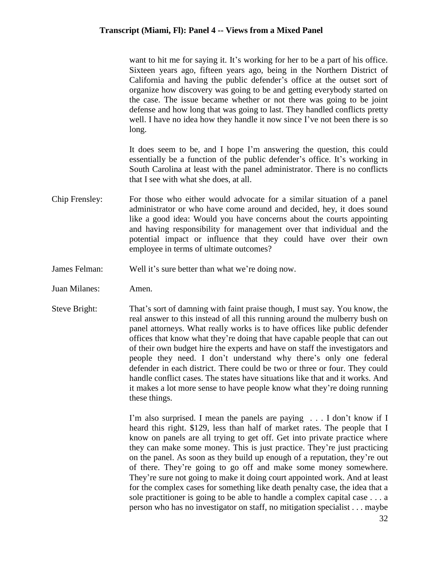want to hit me for saying it. It's working for her to be a part of his office. Sixteen years ago, fifteen years ago, being in the Northern District of California and having the public defender's office at the outset sort of organize how discovery was going to be and getting everybody started on the case. The issue became whether or not there was going to be joint defense and how long that was going to last. They handled conflicts pretty well. I have no idea how they handle it now since I've not been there is so long.

It does seem to be, and I hope I'm answering the question, this could essentially be a function of the public defender's office. It's working in South Carolina at least with the panel administrator. There is no conflicts that I see with what she does, at all.

- Chip Frensley: For those who either would advocate for a similar situation of a panel administrator or who have come around and decided, hey, it does sound like a good idea: Would you have concerns about the courts appointing and having responsibility for management over that individual and the potential impact or influence that they could have over their own employee in terms of ultimate outcomes?
- James Felman: Well it's sure better than what we're doing now.
- Juan Milanes: Amen.
- Steve Bright: That's sort of damning with faint praise though, I must say. You know, the real answer to this instead of all this running around the mulberry bush on panel attorneys. What really works is to have offices like public defender offices that know what they're doing that have capable people that can out of their own budget hire the experts and have on staff the investigators and people they need. I don't understand why there's only one federal defender in each district. There could be two or three or four. They could handle conflict cases. The states have situations like that and it works. And it makes a lot more sense to have people know what they're doing running these things.

I'm also surprised. I mean the panels are paying . . . I don't know if I heard this right. \$129, less than half of market rates. The people that I know on panels are all trying to get off. Get into private practice where they can make some money. This is just practice. They're just practicing on the panel. As soon as they build up enough of a reputation, they're out of there. They're going to go off and make some money somewhere. They're sure not going to make it doing court appointed work. And at least for the complex cases for something like death penalty case, the idea that a sole practitioner is going to be able to handle a complex capital case . . . a person who has no investigator on staff, no mitigation specialist . . . maybe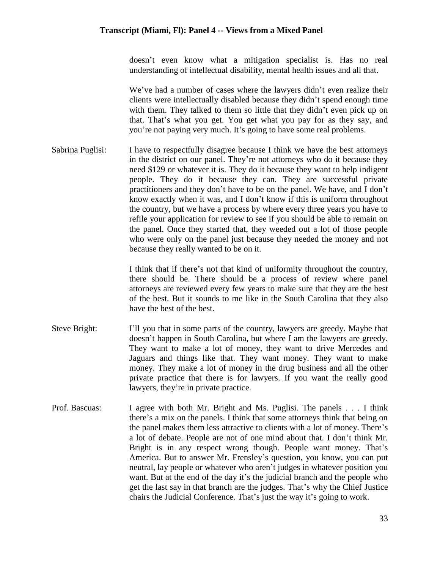doesn't even know what a mitigation specialist is. Has no real understanding of intellectual disability, mental health issues and all that.

We've had a number of cases where the lawyers didn't even realize their clients were intellectually disabled because they didn't spend enough time with them. They talked to them so little that they didn't even pick up on that. That's what you get. You get what you pay for as they say, and you're not paying very much. It's going to have some real problems.

Sabrina Puglisi: I have to respectfully disagree because I think we have the best attorneys in the district on our panel. They're not attorneys who do it because they need \$129 or whatever it is. They do it because they want to help indigent people. They do it because they can. They are successful private practitioners and they don't have to be on the panel. We have, and I don't know exactly when it was, and I don't know if this is uniform throughout the country, but we have a process by where every three years you have to refile your application for review to see if you should be able to remain on the panel. Once they started that, they weeded out a lot of those people who were only on the panel just because they needed the money and not because they really wanted to be on it.

> I think that if there's not that kind of uniformity throughout the country, there should be. There should be a process of review where panel attorneys are reviewed every few years to make sure that they are the best of the best. But it sounds to me like in the South Carolina that they also have the best of the best.

- Steve Bright: I'll you that in some parts of the country, lawyers are greedy. Maybe that doesn't happen in South Carolina, but where I am the lawyers are greedy. They want to make a lot of money, they want to drive Mercedes and Jaguars and things like that. They want money. They want to make money. They make a lot of money in the drug business and all the other private practice that there is for lawyers. If you want the really good lawyers, they're in private practice.
- Prof. Bascuas: I agree with both Mr. Bright and Ms. Puglisi. The panels . . . I think there's a mix on the panels. I think that some attorneys think that being on the panel makes them less attractive to clients with a lot of money. There's a lot of debate. People are not of one mind about that. I don't think Mr. Bright is in any respect wrong though. People want money. That's America. But to answer Mr. Frensley's question, you know, you can put neutral, lay people or whatever who aren't judges in whatever position you want. But at the end of the day it's the judicial branch and the people who get the last say in that branch are the judges. That's why the Chief Justice chairs the Judicial Conference. That's just the way it's going to work.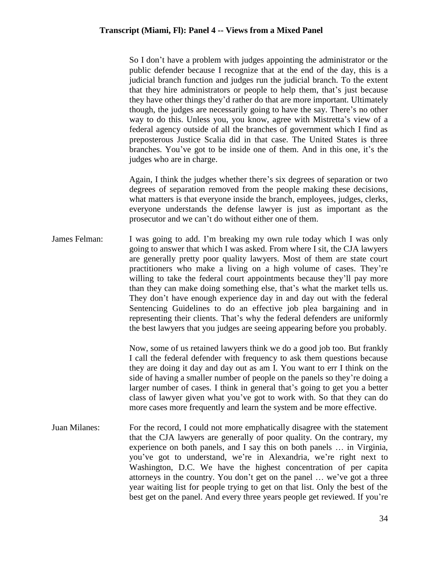So I don't have a problem with judges appointing the administrator or the public defender because I recognize that at the end of the day, this is a judicial branch function and judges run the judicial branch. To the extent that they hire administrators or people to help them, that's just because they have other things they'd rather do that are more important. Ultimately though, the judges are necessarily going to have the say. There's no other way to do this. Unless you, you know, agree with Mistretta's view of a federal agency outside of all the branches of government which I find as preposterous Justice Scalia did in that case. The United States is three branches. You've got to be inside one of them. And in this one, it's the judges who are in charge.

Again, I think the judges whether there's six degrees of separation or two degrees of separation removed from the people making these decisions, what matters is that everyone inside the branch, employees, judges, clerks, everyone understands the defense lawyer is just as important as the prosecutor and we can't do without either one of them.

James Felman: I was going to add. I'm breaking my own rule today which I was only going to answer that which I was asked. From where I sit, the CJA lawyers are generally pretty poor quality lawyers. Most of them are state court practitioners who make a living on a high volume of cases. They're willing to take the federal court appointments because they'll pay more than they can make doing something else, that's what the market tells us. They don't have enough experience day in and day out with the federal Sentencing Guidelines to do an effective job plea bargaining and in representing their clients. That's why the federal defenders are uniformly the best lawyers that you judges are seeing appearing before you probably.

> Now, some of us retained lawyers think we do a good job too. But frankly I call the federal defender with frequency to ask them questions because they are doing it day and day out as am I. You want to err I think on the side of having a smaller number of people on the panels so they're doing a larger number of cases. I think in general that's going to get you a better class of lawyer given what you've got to work with. So that they can do more cases more frequently and learn the system and be more effective.

Juan Milanes: For the record, I could not more emphatically disagree with the statement that the CJA lawyers are generally of poor quality. On the contrary, my experience on both panels, and I say this on both panels … in Virginia, you've got to understand, we're in Alexandria, we're right next to Washington, D.C. We have the highest concentration of per capita attorneys in the country. You don't get on the panel … we've got a three year waiting list for people trying to get on that list. Only the best of the best get on the panel. And every three years people get reviewed. If you're